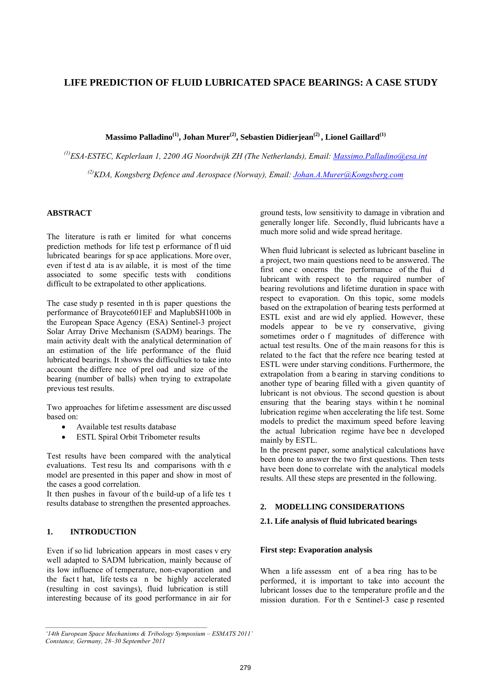# **LIFE PREDICTION OF FLUID LUBRICATED SPACE BEARINGS: A CASE STUDY**

Massimo Palladino<sup>(1)</sup>, Johan Murer<sup>(2)</sup>, Sebastien Didierjean<sup>(2)</sup>, Lionel Gaillard<sup>(1)</sup>

*(1)ESA-ESTEC, Keplerlaan 1, 2200 AG Noordwijk ZH (The Netherlands), Email: Massimo.Palladino@esa.int* <sup>(2)</sup>KDA, Kongsberg Defence and Aerospace (Norway), Email: Johan.A.Murer@Kongsberg.com

# **ABSTRACT**

The literature is rath er limited for what concerns prediction methods for life test p erformance of fl uid lubricated bearings for sp ace applications. More over, even if test d ata is av ailable, it is most of the time associated to some specific tests with conditions difficult to be extrapolated to other applications.

The case study p resented in th is paper questions the performance of Braycote601EF and MaplubSH100b in the European Space Agency (ESA) Sentinel-3 project Solar Array Drive Mechanism (SADM) bearings. The main activity dealt with the analytical determination of an estimation of the life performance of the fluid lubricated bearings. It shows the difficulties to take into account the differe nce of prel oad and size of the bearing (number of balls) when trying to extrapolate previous test results.

Two approaches for lifetime assessment are discussed based on:

- Available test results database
- ESTL Spiral Orbit Tribometer results

Test results have been compared with the analytical evaluations. Test resu lts and comparisons with th e model are presented in this paper and show in most of the cases a good correlation.

It then pushes in favour of th e build-up of a life tes t results database to strengthen the presented approaches.

### **1. INTRODUCTION**

Even if so lid lubrication appears in most cases v ery well adapted to SADM lubrication, mainly because of its low influence of temperature, non-evaporation and the fact t hat, life tests ca n be highly accelerated (resulting in cost savings), fluid lubrication is still interesting because of its good performance in air for

ground tests, low sensitivity to damage in vibration and generally longer life. Secondly, fluid lubricants have a much more solid and wide spread heritage.

When fluid lubricant is selected as lubricant baseline in a project, two main questions need to be answered. The first one c oncerns the performance of the flui d lubricant with respect to the required number of bearing revolutions and lifetime duration in space with respect to evaporation. On this topic, some models based on the extrapolation of bearing tests performed at ESTL exist and are wid ely applied. However, these models appear to be ve ry conservative, giving sometimes order o f magnitudes of difference with actual test results. One of the main reasons for this is related to the fact that the refere nce bearing tested at ESTL were under starving conditions. Furthermore, the extrapolation from a b earing in starving conditions to another type of bearing filled with a given quantity of lubricant is not obvious. The second question is about ensuring that the bearing stays within t he nominal lubrication regime when accelerating the life test. Some models to predict the maximum speed before leaving the actual lubrication regime have bee n developed mainly by ESTL.

In the present paper, some analytical calculations have been done to answer the two first questions. Then tests have been done to correlate with the analytical models results. All these steps are presented in the following.

### **2. MODELLING CONSIDERATIONS**

### **2.1. Life analysis of fluid lubricated bearings**

#### **First step: Evaporation analysis**

When a life assessm ent of a bea ring has to be performed, it is important to take into account the lubricant losses due to the temperature profile and the mission duration. For th e Sentinel-3 case p resented

*<sup>&#</sup>x27;14th European Space Mechanisms & Tribology Symposium – ESMATS 2011' Constance, Germany, 28–30 September 2011*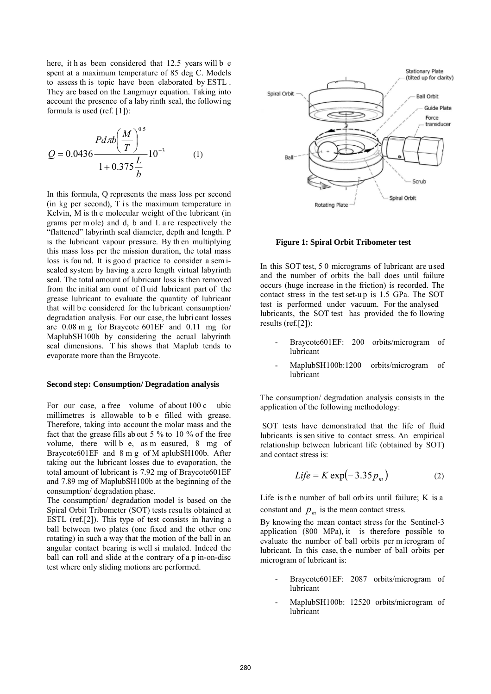here, it h as been considered that 12.5 years will b e spent at a maximum temperature of 85 deg C. Models to assess th is topic have been elaborated by ESTL . They are based on the Langmuyr equation. Taking into account the presence of a laby rinth seal, the followi ng formula is used (ref. [1]):

$$
Q = 0.0436 \frac{P d \pi b \left(\frac{M}{T}\right)^{0.5}}{1 + 0.375 \frac{L}{b}} 10^{-3}
$$
 (1)

In this formula, Q represents the mass loss per second (in kg per second),  $\overline{T}$  is the maximum temperature in Kelvin, M is th e molecular weight of the lubricant (in grams per m ole) and d, b and L a re respectively the "flattened" labyrinth seal diameter, depth and length. P is the lubricant vapour pressure. By th en multiplying this mass loss per the mission duration, the total mass loss is fou nd. It is goo d practice to consider a sem isealed system by having a zero length virtual labyrinth seal. The total amount of lubricant loss is then removed from the initial am ount of fl uid lubricant part of the grease lubricant to evaluate the quantity of lubricant that will be considered for the lubricant consumption/ degradation analysis. For our case, the lubri cant losses are 0.08 m g for Braycote 601EF and 0.11 mg for MaplubSH100b by considering the actual labyrinth seal dimensions. T his shows that Maplub tends to evaporate more than the Braycote.

### **Second step: Consumption/ Degradation analysis**

For our case, a free volume of about 100 c ubic millimetres is allowable to b e filled with grease. Therefore, taking into account the molar mass and the fact that the grease fills ab out 5 % to 10 % of the free volume, there will b e, as m easured, 8 mg of Braycote601EF and 8 m g of M aplubSH100b. After taking out the lubricant losses due to evaporation, the total amount of lubricant is 7.92 mg of Braycote601EF and 7.89 mg of MaplubSH100b at the beginning of the consumption/ degradation phase.

The consumption/ degradation model is based on the Spiral Orbit Tribometer (SOT) tests resu lts obtained at ESTL (ref.[2]). This type of test consists in having a ball between two plates (one fixed and the other one rotating) in such a way that the motion of the ball in an angular contact bearing is well si mulated. Indeed the ball can roll and slide at the contrary of a p in-on-disc test where only sliding motions are performed.



#### **Figure 1: Spiral Orbit Tribometer test**

In this SOT test, 5 0 micrograms of lubricant are used and the number of orbits the ball does until failure occurs (huge increase in the friction) is recorded. The contact stress in the test set-u p is 1.5 GPa. The SOT test is performed under vacuum. For the analysed lubricants, the SOT test has provided the fo llowing results (ref.[2]):

- Braycote601EF: 200 orbits/microgram of lubricant
- MaplubSH100b:1200 orbits/microgram of lubricant

The consumption/ degradation analysis consists in the application of the following methodology:

 SOT tests have demonstrated that the life of fluid lubricants is sen sitive to contact stress. An empirical relationship between lubricant life (obtained by SOT) and contact stress is:

$$
Life = K \exp(-3.35 p_m)
$$
 (2)

Life is th e number of ball orb its until failure; K is a constant and  $p_m$  is the mean contact stress.

By knowing the mean contact stress for the Sentinel-3 application (800 MPa), it is therefore possible to evaluate the number of ball orbits per m icrogram of lubricant. In this case, th e number of ball orbits per microgram of lubricant is:

- Braycote601EF: 2087 orbits/microgram of lubricant
- MaplubSH100b: 12520 orbits/microgram of lubricant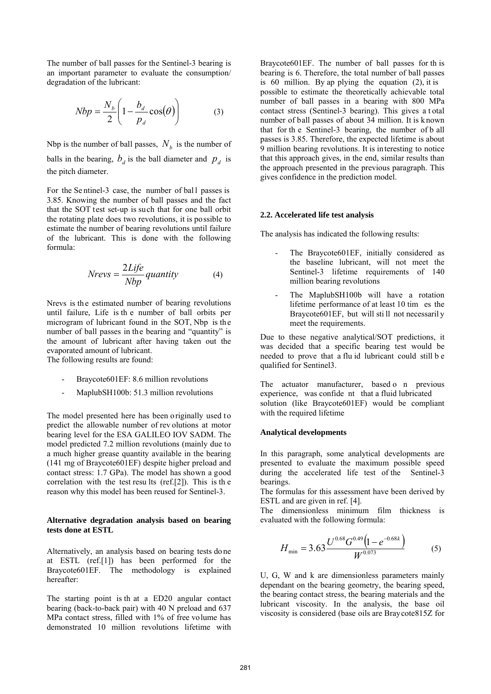The number of ball passes for the Sentinel-3 bearing is an important parameter to evaluate the consumption/ degradation of the lubricant:

$$
Nbp = \frac{N_b}{2} \left( 1 - \frac{b_d}{p_d} \cos(\theta) \right) \tag{3}
$$

Nbp is the number of ball passes,  $N_b$  is the number of balls in the bearing,  $b_d$  is the ball diameter and  $p_d$  is the pitch diameter.

For the Sentinel-3 case, the number of ball passes is 3.85. Knowing the number of ball passes and the fact that the SOT test set-up is such that for one ball orbit the rotating plate does two revolutions, it is possible to estimate the number of bearing revolutions until failure of the lubricant. This is done with the following formula:

$$
Nrevs = \frac{2Life}{Nbp} quantity
$$
 (4)

Nrevs is th e estimated number of bearing revolutions until failure, Life is th e number of ball orbits per microgram of lubricant found in the SOT, Nbp is th e number of ball passes in the bearing and "quantity" is the amount of lubricant after having taken out the evaporated amount of lubricant. The following results are found:

Braycote601EF: 8.6 million revolutions

MaplubSH100b: 51.3 million revolutions

The model presented here has been originally used to predict the allowable number of rev olutions at motor bearing level for the ESA GALILEO IOV SADM. The model predicted 7.2 million revolutions (mainly due to a much higher grease quantity available in the bearing (141 mg of Braycote601EF) despite higher preload and contact stress: 1.7 GPa). The model has shown a good correlation with the test resu lts (ref.[2]). This is the reason why this model has been reused for Sentinel-3.

### **Alternative degradation analysis based on bearing tests done at ESTL**

Alternatively, an analysis based on bearing tests do ne at ESTL (ref.[1]) has been performed for the Braycote601EF. The methodology is explained hereafter:

The starting point is th at a ED20 angular contact bearing (back-to-back pair) with 40 N preload and 637 MPa contact stress, filled with 1% of free volume has demonstrated 10 million revolutions lifetime with

Braycote601EF. The number of ball passes for th is bearing is 6. Therefore, the total number of ball passes is 60 million. By ap plying the equation (2), it is possible to estimate the theoretically achievable total number of ball passes in a bearing with 800 MPa contact stress (Sentinel-3 bearing). This gives a t otal number of ball passes of about 34 million. It is k nown that for th e Sentinel-3 bearing, the number of b all passes is 3.85. Therefore, the expected lifetime is about 9 million bearing revolutions. It is interesting to notice that this approach gives, in the end, similar results than the approach presented in the previous paragraph. This gives confidence in the prediction model.

#### **2.2. Accelerated life test analysis**

The analysis has indicated the following results:

- The Braycote601EF, initially considered as the baseline lubricant, will not meet the Sentinel-3 lifetime requirements of 140 million bearing revolutions
- The MaplubSH100b will have a rotation lifetime performance of at least 10 tim es the Braycote601EF, but will sti ll not necessaril y meet the requirements.

Due to these negative analytical/SOT predictions, it was decided that a specific bearing test would be needed to prove that a flu id lubricant could still b e qualified for Sentinel3.

The actuator manufacturer, based o n previous experience, was confide nt that a fluid lubricated solution (like Braycote601EF) would be compliant with the required lifetime

#### **Analytical developments**

In this paragraph, some analytical developments are presented to evaluate the maximum possible speed during the accelerated life test of the Sentinel-3 bearings.

The formulas for this assessment have been derived by ESTL and are given in ref. [4].

The dimensionless minimum film thickness is evaluated with the following formula:

$$
H_{\min} = 3.63 \frac{U^{0.68} G^{0.49} (1 - e^{-0.68k})}{W^{0.073}}
$$
 (5)

U, G, W and k are dimensionless parameters mainly dependant on the bearing geometry, the bearing speed, the bearing contact stress, the bearing materials and the lubricant viscosity. In the analysis, the base oil viscosity is considered (base oils are Braycote815Z for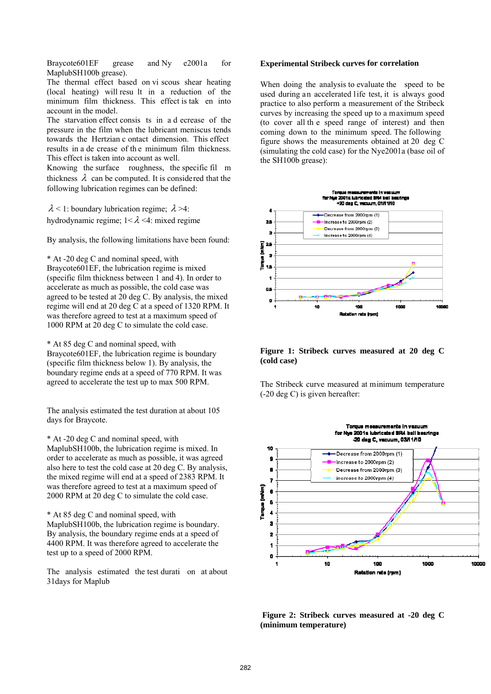Braycote601EF grease and Ny e2001a for MaplubSH100b grease).

The thermal effect based on vi scous shear heating (local heating) will resu lt in a reduction of the minimum film thickness. This effect is tak en into account in the model.

The starvation effect consis ts in a d ecrease of the pressure in the film when the lubricant meniscus tends towards the Hertzian c ontact dimension. This effect results in a de crease of th e minimum film thickness. This effect is taken into account as well.

Knowing the surface roughness, the specific fil m thickness  $\lambda$  can be computed. It is considered that the following lubrication regimes can be defined:

 $\lambda$  < 1: boundary lubrication regime;  $\lambda$  >4: hydrodynamic regime;  $1 < \lambda < 4$ : mixed regime

By analysis, the following limitations have been found:

\* At -20 deg C and nominal speed, with

Braycote601EF, the lubrication regime is mixed (specific film thickness between 1 and 4). In order to accelerate as much as possible, the cold case was agreed to be tested at 20 deg C. By analysis, the mixed regime will end at 20 deg C at a speed of 1320 RPM. It was therefore agreed to test at a maximum speed of 1000 RPM at 20 deg C to simulate the cold case.

\* At 85 deg C and nominal speed, with Braycote601EF, the lubrication regime is boundary (specific film thickness below 1). By analysis, the boundary regime ends at a speed of 770 RPM. It was agreed to accelerate the test up to max 500 RPM.

The analysis estimated the test duration at about 105 days for Braycote.

\* At -20 deg C and nominal speed, with MaplubSH100b, the lubrication regime is mixed. In order to accelerate as much as possible, it was agreed also here to test the cold case at 20 deg C. By analysis, the mixed regime will end at a speed of 2383 RPM. It was therefore agreed to test at a maximum speed of 2000 RPM at 20 deg C to simulate the cold case.

\* At 85 deg C and nominal speed, with MaplubSH100b, the lubrication regime is boundary. By analysis, the boundary regime ends at a speed of 4400 RPM. It was therefore agreed to accelerate the test up to a speed of 2000 RPM.

The analysis estimated the test durati on at about 31days for Maplub

#### **Experimental Stribeck curves for correlation**

When doing the analysis to evaluate the speed to be used during an accelerated life test, it is always good practice to also perform a measurement of the Stribeck curves by increasing the speed up to a maximum speed (to cover all th e speed range of interest) and then coming down to the minimum speed. The following figure shows the measurements obtained at 20 deg C (simulating the cold case) for the Nye2001a (base oil of the SH100b grease):



**Figure 1: Stribeck curves measured at 20 deg C (cold case)** 

The Stribeck curve measured at minimum temperature (-20 deg C) is given hereafter:



**Figure 2: Stribeck curves measured at -20 deg C (minimum temperature)**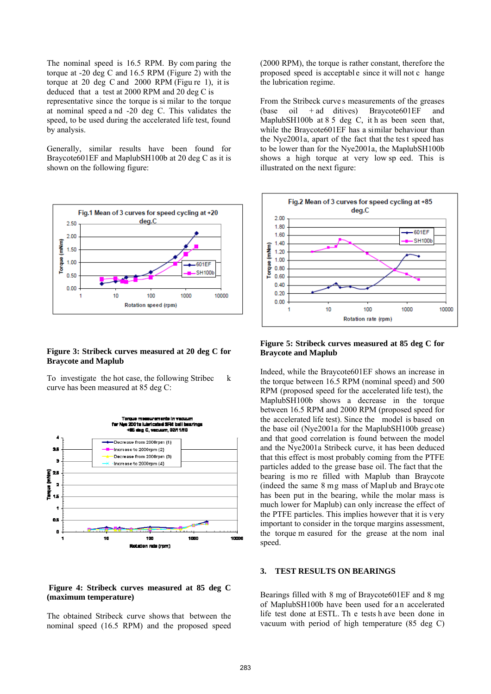The nominal speed is 16.5 RPM. By com paring the torque at -20 deg C and 16.5 RPM (Figure 2) with the torque at 20 deg C and 2000 RPM (Figu re 1), it is deduced that a test at 2000 RPM and 20 deg C is representative since the torque is si milar to the torque at nominal speed a nd -20 deg C. This validates the speed, to be used during the accelerated life test, found by analysis.

Generally, similar results have been found for Braycote601EF and MaplubSH100b at 20 deg C as it is shown on the following figure:



### **Figure 3: Stribeck curves measured at 20 deg C for Braycote and Maplub**

To investigate the hot case, the following Stribec k curve has been measured at 85 deg C:



### **Figure 4: Stribeck curves measured at 85 deg C (maximum temperature)**

The obtained Stribeck curve shows that between the nominal speed (16.5 RPM) and the proposed speed (2000 RPM), the torque is rather constant, therefore the proposed speed is acceptabl e since it will not c hange the lubrication regime.

From the Stribeck curve s measurements of the greases  $(base$  oil  $+ ad$  ditives) Braycote 601 EF and MaplubSH100b at  $85$  deg C, it h as been seen that, while the Braycote601EF has a similar behaviour than the Nye2001a, apart of the fact that the tes t speed has to be lower than for the Nye2001a, the MaplubSH100b shows a high torque at very low sp eed. This is illustrated on the next figure:



### **Figure 5: Stribeck curves measured at 85 deg C for Braycote and Maplub**

Indeed, while the Braycote601EF shows an increase in the torque between 16.5 RPM (nominal speed) and 500 RPM (proposed speed for the accelerated life test), the MaplubSH100b shows a decrease in the torque between 16.5 RPM and 2000 RPM (proposed speed for the accelerated life test). Since the model is based on the base oil (Nye2001a for the MaplubSH100b grease) and that good correlation is found between the model and the Nye2001a Stribeck curve, it has been deduced that this effect is most probably coming from the PTFE particles added to the grease base oil. The fact that the bearing is mo re filled with Maplub than Braycote (indeed the same 8 mg mass of Maplub and Braycote has been put in the bearing, while the molar mass is much lower for Maplub) can only increase the effect of the PTFE particles. This implies however that it is very important to consider in the torque margins assessment, the torque m easured for the grease at the nom inal speed.

#### **3. TEST RESULTS ON BEARINGS**

Bearings filled with 8 mg of Braycote601EF and 8 mg of MaplubSH100b have been used for a n accelerated life test done at ESTL. Th e tests h ave been done in vacuum with period of high temperature (85 deg C)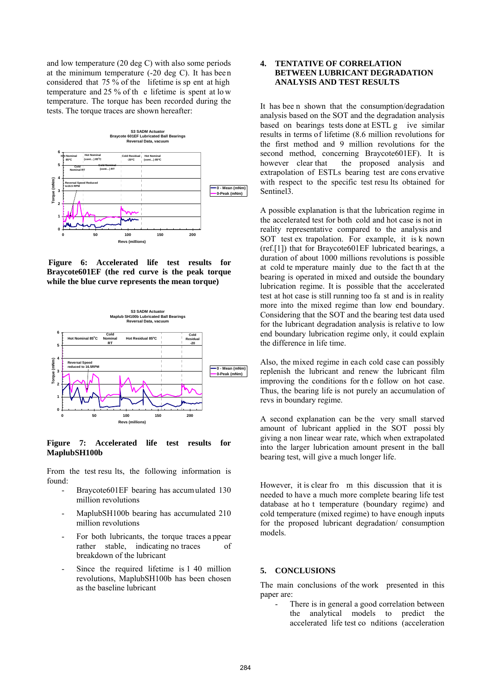and low temperature (20 deg C) with also some periods at the minimum temperature (-20 deg C). It has bee n considered that 75 % of the lifetime is sp ent at high temperature and 25 % of th e lifetime is spent at lo w temperature. The torque has been recorded during the tests. The torque traces are shown hereafter:



**Figure 6: Accelerated life test results for Braycote601EF (the red curve is the peak torque while the blue curve represents the mean torque)**



**Figure 7: Accelerated life test results for MaplubSH100b**

From the test results, the following information is found:

- Braycote601EF bearing has accumulated 130 million revolutions
- MaplubSH100b bearing has accumulated 210 million revolutions
- For both lubricants, the torque traces a ppear rather stable, indicating no traces breakdown of the lubricant
- Since the required lifetime is 1 40 million revolutions, MaplubSH100b has been chosen as the baseline lubricant

# **4. TENTATIVE OF CORRELATION BETWEEN LUBRICANT DEGRADATION ANALYSIS AND TEST RESULTS**

It has bee n shown that the consumption/degradation analysis based on the SOT and the degradation analysis based on bearings tests done at ESTL g ive similar results in terms of lifetime (8.6 million revolutions for the first method and 9 million revolutions for the second method, concerning Braycote601EF). It is however clear that the proposed analysis and extrapolation of ESTLs bearing test are cons ervative with respect to the specific test resu lts obtained for Sentinel3.

A possible explanation is that the lubrication regime in the accelerated test for both cold and hot case is not in reality representative compared to the analysis and SOT test ex trapolation. For example, it is k nown (ref.[1]) that for Braycote601EF lubricated bearings, a duration of about 1000 millions revolutions is possible at cold te mperature mainly due to the fact th at the bearing is operated in mixed and outside the boundary lubrication regime. It is possible that the accelerated test at hot case is still running too fa st and is in reality more into the mixed regime than low end boundary. Considering that the SOT and the bearing test data used for the lubricant degradation analysis is relative to low end boundary lubrication regime only, it could explain the difference in life time.

Also, the mixed regime in each cold case can possibly replenish the lubricant and renew the lubricant film improving the conditions for th e follow on hot case. Thus, the bearing life is not purely an accumulation of revs in boundary regime.

A second explanation can be the very small starved amount of lubricant applied in the SOT possi bly giving a non linear wear rate, which when extrapolated into the larger lubrication amount present in the ball bearing test, will give a much longer life.

However, it is clear fro m this discussion that it is needed to have a much more complete bearing life test database at ho t temperature (boundary regime) and cold temperature (mixed regime) to have enough inputs for the proposed lubricant degradation/ consumption models.

### **5. CONCLUSIONS**

The main conclusions of the work presented in this paper are:

There is in general a good correlation between the analytical models to predict the accelerated life test co nditions (acceleration